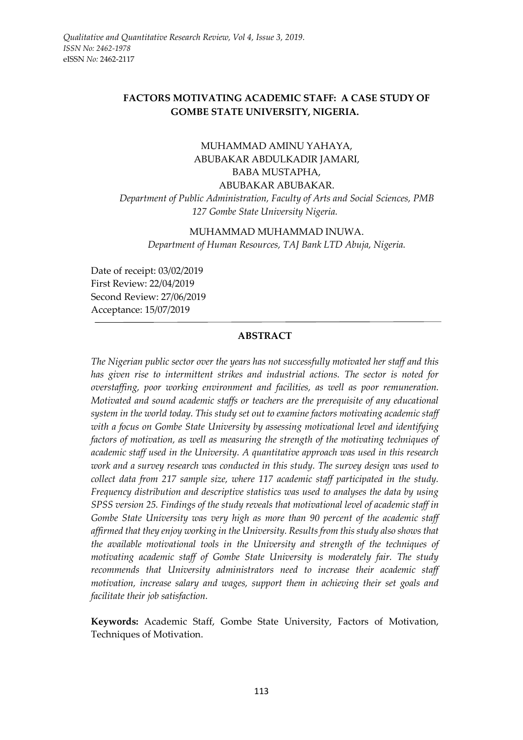# **FACTORS MOTIVATING ACADEMIC STAFF: A CASE STUDY OF GOMBE STATE UNIVERSITY, NIGERIA.**

# MUHAMMAD AMINU YAHAYA, ABUBAKAR ABDULKADIR JAMARI, BABA MUSTAPHA, ABUBAKAR ABUBAKAR. *Department of Public Administration, Faculty of Arts and Social Sciences, PMB 127 Gombe State University Nigeria.*

# MUHAMMAD MUHAMMAD INUWA. *Department of Human Resources, TAJ Bank LTD Abuja, Nigeria.*

Date of receipt: 03/02/2019 First Review: 22/04/2019 Second Review: 27/06/2019 Acceptance: 15/07/2019

# **ABSTRACT**

*The Nigerian public sector over the years has not successfully motivated her staff and this has given rise to intermittent strikes and industrial actions. The sector is noted for overstaffing, poor working environment and facilities, as well as poor remuneration. Motivated and sound academic staffs or teachers are the prerequisite of any educational system in the world today. This study set out to examine factors motivating academic staff with a focus on Gombe State University by assessing motivational level and identifying factors of motivation, as well as measuring the strength of the motivating techniques of academic staff used in the University. A quantitative approach was used in this research work and a survey research was conducted in this study. The survey design was used to collect data from 217 sample size, where 117 academic staff participated in the study. Frequency distribution and descriptive statistics was used to analyses the data by using SPSS version 25. Findings of the study reveals that motivational level of academic staff in Gombe State University was very high as more than 90 percent of the academic staff affirmed that they enjoy working in the University. Results from this study also shows that the available motivational tools in the University and strength of the techniques of motivating academic staff of Gombe State University is moderately fair. The study recommends that University administrators need to increase their academic staff motivation, increase salary and wages, support them in achieving their set goals and facilitate their job satisfaction.*

**Keywords:** Academic Staff, Gombe State University, Factors of Motivation, Techniques of Motivation.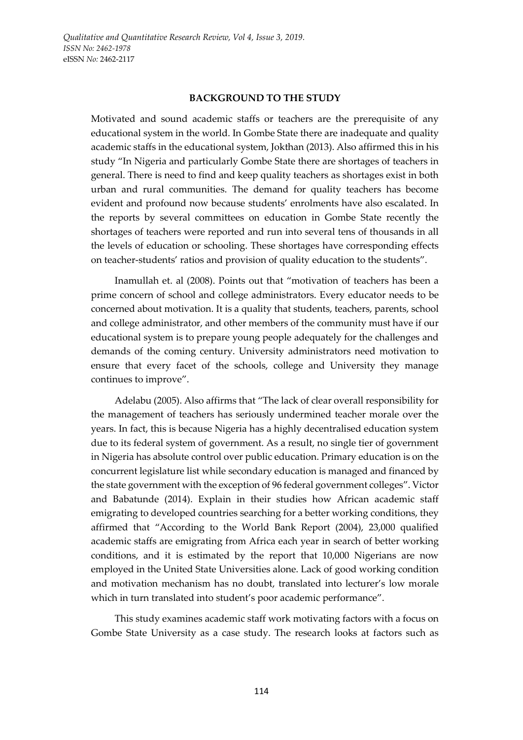#### **BACKGROUND TO THE STUDY**

Motivated and sound academic staffs or teachers are the prerequisite of any educational system in the world. In Gombe State there are inadequate and quality academic staffs in the educational system, Jokthan (2013). Also affirmed this in his study "In Nigeria and particularly Gombe State there are shortages of teachers in general. There is need to find and keep quality teachers as shortages exist in both urban and rural communities. The demand for quality teachers has become evident and profound now because students' enrolments have also escalated. In the reports by several committees on education in Gombe State recently the shortages of teachers were reported and run into several tens of thousands in all the levels of education or schooling. These shortages have corresponding effects on teacher-students' ratios and provision of quality education to the students".

Inamullah et. al (2008). Points out that "motivation of teachers has been a prime concern of school and college administrators. Every educator needs to be concerned about motivation. It is a quality that students, teachers, parents, school and college administrator, and other members of the community must have if our educational system is to prepare young people adequately for the challenges and demands of the coming century. University administrators need motivation to ensure that every facet of the schools, college and University they manage continues to improve".

Adelabu (2005). Also affirms that "The lack of clear overall responsibility for the management of teachers has seriously undermined teacher morale over the years. In fact, this is because Nigeria has a highly decentralised education system due to its federal system of government. As a result, no single tier of government in Nigeria has absolute control over public education. Primary education is on the concurrent legislature list while secondary education is managed and financed by the state government with the exception of 96 federal government colleges". Victor and Babatunde (2014). Explain in their studies how African academic staff emigrating to developed countries searching for a better working conditions, they affirmed that "According to the World Bank Report (2004), 23,000 qualified academic staffs are emigrating from Africa each year in search of better working conditions, and it is estimated by the report that 10,000 Nigerians are now employed in the United State Universities alone. Lack of good working condition and motivation mechanism has no doubt, translated into lecturer's low morale which in turn translated into student's poor academic performance".

This study examines academic staff work motivating factors with a focus on Gombe State University as a case study. The research looks at factors such as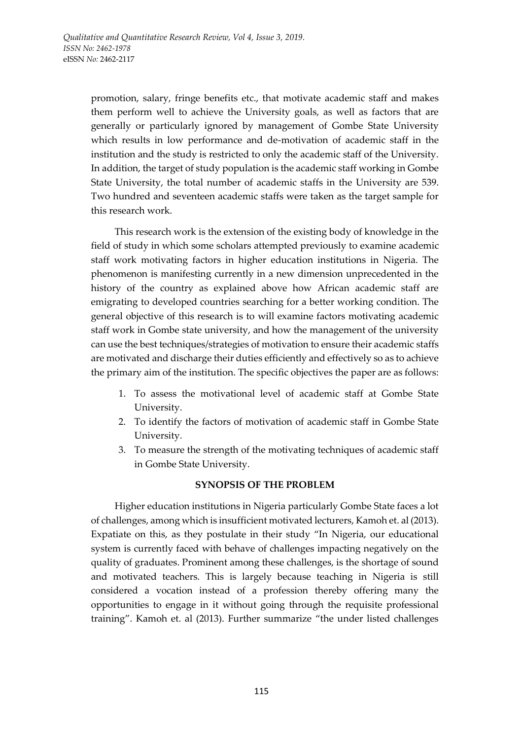promotion, salary, fringe benefits etc., that motivate academic staff and makes them perform well to achieve the University goals, as well as factors that are generally or particularly ignored by management of Gombe State University which results in low performance and de-motivation of academic staff in the institution and the study is restricted to only the academic staff of the University. In addition, the target of study population is the academic staff working in Gombe State University, the total number of academic staffs in the University are 539. Two hundred and seventeen academic staffs were taken as the target sample for this research work.

This research work is the extension of the existing body of knowledge in the field of study in which some scholars attempted previously to examine academic staff work motivating factors in higher education institutions in Nigeria. The phenomenon is manifesting currently in a new dimension unprecedented in the history of the country as explained above how African academic staff are emigrating to developed countries searching for a better working condition. The general objective of this research is to will examine factors motivating academic staff work in Gombe state university, and how the management of the university can use the best techniques/strategies of motivation to ensure their academic staffs are motivated and discharge their duties efficiently and effectively so as to achieve the primary aim of the institution. The specific objectives the paper are as follows:

- 1. To assess the motivational level of academic staff at Gombe State University.
- 2. To identify the factors of motivation of academic staff in Gombe State University.
- 3. To measure the strength of the motivating techniques of academic staff in Gombe State University.

#### **SYNOPSIS OF THE PROBLEM**

Higher education institutions in Nigeria particularly Gombe State faces a lot of challenges, among which is insufficient motivated lecturers, Kamoh et. al (2013). Expatiate on this, as they postulate in their study "In Nigeria, our educational system is currently faced with behave of challenges impacting negatively on the quality of graduates. Prominent among these challenges, is the shortage of sound and motivated teachers. This is largely because teaching in Nigeria is still considered a vocation instead of a profession thereby offering many the opportunities to engage in it without going through the requisite professional training". Kamoh et. al (2013). Further summarize "the under listed challenges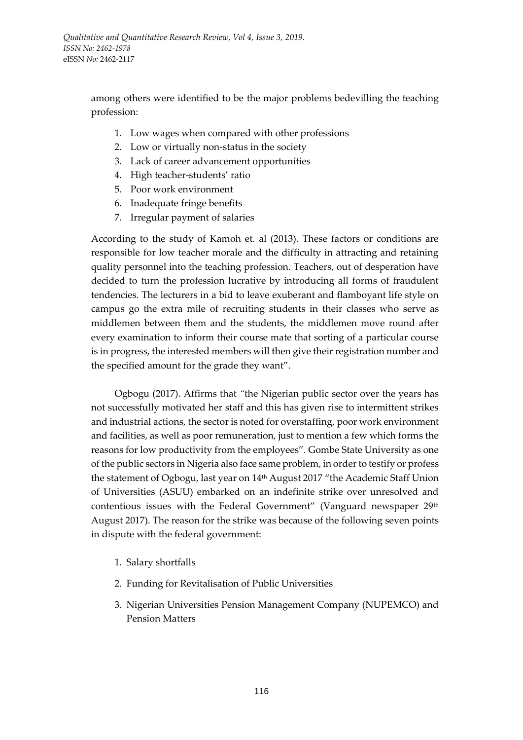among others were identified to be the major problems bedevilling the teaching profession:

- 1. Low wages when compared with other professions
- 2. Low or virtually non-status in the society
- 3. Lack of career advancement opportunities
- 4. High teacher-students' ratio
- 5. Poor work environment
- 6. Inadequate fringe benefits
- 7. Irregular payment of salaries

According to the study of Kamoh et. al (2013). These factors or conditions are responsible for low teacher morale and the difficulty in attracting and retaining quality personnel into the teaching profession. Teachers, out of desperation have decided to turn the profession lucrative by introducing all forms of fraudulent tendencies. The lecturers in a bid to leave exuberant and flamboyant life style on campus go the extra mile of recruiting students in their classes who serve as middlemen between them and the students, the middlemen move round after every examination to inform their course mate that sorting of a particular course is in progress, the interested members will then give their registration number and the specified amount for the grade they want".

Ogbogu (2017). Affirms that *"*the Nigerian public sector over the years has not successfully motivated her staff and this has given rise to intermittent strikes and industrial actions, the sector is noted for overstaffing, poor work environment and facilities, as well as poor remuneration, just to mention a few which forms the reasons for low productivity from the employees". Gombe State University as one of the public sectors in Nigeria also face same problem, in order to testify or profess the statement of Ogbogu, last year on 14th August 2017 "the Academic Staff Union of Universities (ASUU) embarked on an indefinite strike over unresolved and contentious issues with the Federal Government" (Vanguard newspaper 29<sup>th</sup> August 2017). The reason for the strike was because of the following seven points in dispute with the federal government:

- 1. Salary shortfalls
- 2. Funding for Revitalisation of Public Universities
- 3. Nigerian Universities Pension Management Company (NUPEMCO) and Pension Matters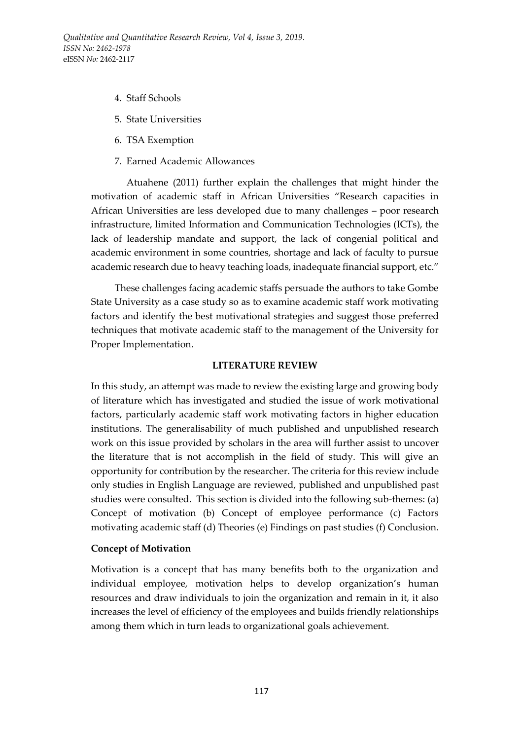- 4. Staff Schools
- 5. State Universities
- 6. TSA Exemption
- 7. Earned Academic Allowances

Atuahene (2011) further explain the challenges that might hinder the motivation of academic staff in African Universities "Research capacities in African Universities are less developed due to many challenges – poor research infrastructure, limited Information and Communication Technologies (ICTs), the lack of leadership mandate and support, the lack of congenial political and academic environment in some countries, shortage and lack of faculty to pursue academic research due to heavy teaching loads, inadequate financial support, etc."

These challenges facing academic staffs persuade the authors to take Gombe State University as a case study so as to examine academic staff work motivating factors and identify the best motivational strategies and suggest those preferred techniques that motivate academic staff to the management of the University for Proper Implementation.

#### **LITERATURE REVIEW**

In this study, an attempt was made to review the existing large and growing body of literature which has investigated and studied the issue of work motivational factors, particularly academic staff work motivating factors in higher education institutions. The generalisability of much published and unpublished research work on this issue provided by scholars in the area will further assist to uncover the literature that is not accomplish in the field of study. This will give an opportunity for contribution by the researcher. The criteria for this review include only studies in English Language are reviewed, published and unpublished past studies were consulted. This section is divided into the following sub-themes: (a) Concept of motivation (b) Concept of employee performance (c) Factors motivating academic staff (d) Theories (e) Findings on past studies (f) Conclusion.

#### **Concept of Motivation**

Motivation is a concept that has many benefits both to the organization and individual employee, motivation helps to develop organization's human resources and draw individuals to join the organization and remain in it, it also increases the level of efficiency of the employees and builds friendly relationships among them which in turn leads to organizational goals achievement.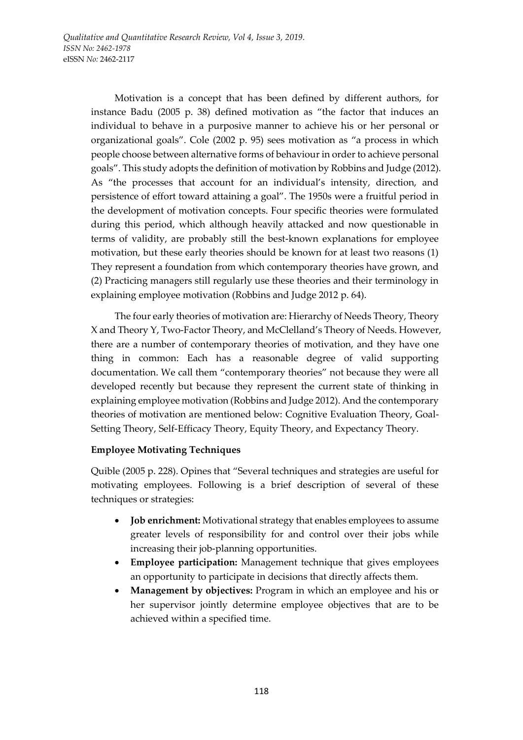Motivation is a concept that has been defined by different authors, for instance Badu (2005 p. 38) defined motivation as "the factor that induces an individual to behave in a purposive manner to achieve his or her personal or organizational goals". Cole (2002 p. 95) sees motivation as "a process in which people choose between alternative forms of behaviour in order to achieve personal goals". This study adopts the definition of motivation by Robbins and Judge (2012). As "the processes that account for an individual's intensity, direction, and persistence of effort toward attaining a goal". The 1950s were a fruitful period in the development of motivation concepts. Four specific theories were formulated during this period, which although heavily attacked and now questionable in terms of validity, are probably still the best-known explanations for employee motivation, but these early theories should be known for at least two reasons (1) They represent a foundation from which contemporary theories have grown, and (2) Practicing managers still regularly use these theories and their terminology in explaining employee motivation (Robbins and Judge 2012 p. 64).

The four early theories of motivation are: Hierarchy of Needs Theory, Theory X and Theory Y, Two-Factor Theory, and McClelland's Theory of Needs. However, there are a number of contemporary theories of motivation, and they have one thing in common: Each has a reasonable degree of valid supporting documentation. We call them "contemporary theories" not because they were all developed recently but because they represent the current state of thinking in explaining employee motivation (Robbins and Judge 2012). And the contemporary theories of motivation are mentioned below: Cognitive Evaluation Theory, Goal-Setting Theory, Self-Efficacy Theory, Equity Theory, and Expectancy Theory.

# **Employee Motivating Techniques**

Quible (2005 p. 228). Opines that "Several techniques and strategies are useful for motivating employees. Following is a brief description of several of these techniques or strategies:

- **Job enrichment:** Motivational strategy that enables employees to assume greater levels of responsibility for and control over their jobs while increasing their job-planning opportunities.
- **Employee participation:** Management technique that gives employees an opportunity to participate in decisions that directly affects them.
- **Management by objectives:** Program in which an employee and his or her supervisor jointly determine employee objectives that are to be achieved within a specified time.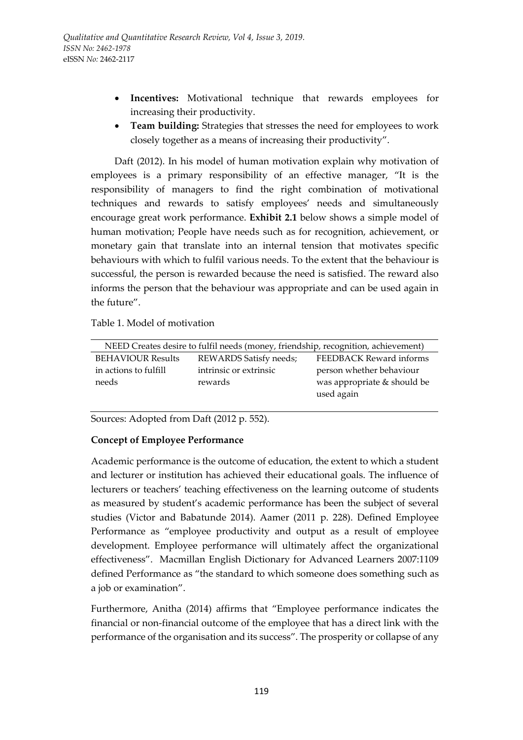- **Incentives:** Motivational technique that rewards employees for increasing their productivity.
- **Team building:** Strategies that stresses the need for employees to work closely together as a means of increasing their productivity".

Daft (2012). In his model of human motivation explain why motivation of employees is a primary responsibility of an effective manager, "It is the responsibility of managers to find the right combination of motivational techniques and rewards to satisfy employees' needs and simultaneously encourage great work performance. **Exhibit 2.1** below shows a simple model of human motivation; People have needs such as for recognition, achievement, or monetary gain that translate into an internal tension that motivates specific behaviours with which to fulfil various needs. To the extent that the behaviour is successful, the person is rewarded because the need is satisfied. The reward also informs the person that the behaviour was appropriate and can be used again in the future".

Table 1. Model of motivation

| NEED Creates desire to fulfil needs (money, friendship, recognition, achievement) |                               |                             |
|-----------------------------------------------------------------------------------|-------------------------------|-----------------------------|
| <b>BEHAVIOUR Results</b>                                                          | <b>REWARDS Satisfy needs;</b> | FEEDBACK Reward informs     |
| in actions to fulfill                                                             | intrinsic or extrinsic        | person whether behaviour    |
| needs                                                                             | rewards                       | was appropriate & should be |
|                                                                                   |                               | used again                  |

Sources: Adopted from Daft (2012 p. 552).

# **Concept of Employee Performance**

Academic performance is the outcome of education, the extent to which a student and lecturer or institution has achieved their educational goals. The influence of lecturers or teachers' teaching effectiveness on the learning outcome of students as measured by student's academic performance has been the subject of several studies (Victor and Babatunde 2014). Aamer (2011 p. 228). Defined Employee Performance as "employee productivity and output as a result of employee development. Employee performance will ultimately affect the organizational effectiveness". Macmillan English Dictionary for Advanced Learners 2007:1109 defined Performance as "the standard to which someone does something such as a job or examination".

Furthermore, Anitha (2014) affirms that "Employee performance indicates the financial or non-financial outcome of the employee that has a direct link with the performance of the organisation and its success". The prosperity or collapse of any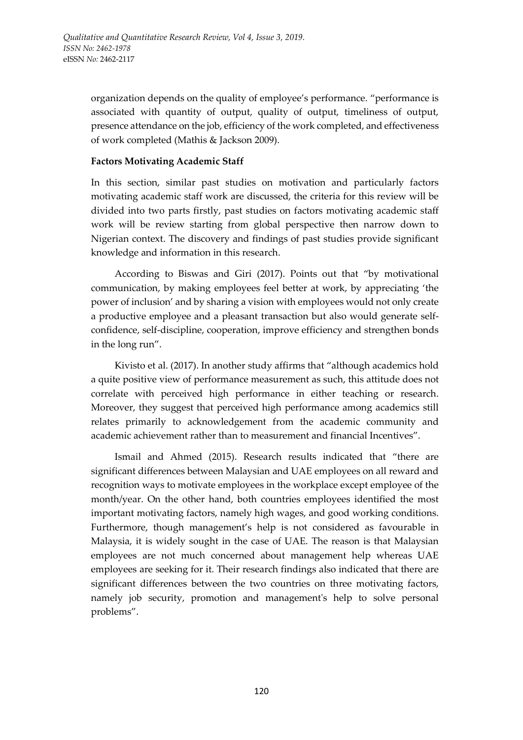organization depends on the quality of employee's performance. "performance is associated with quantity of output, quality of output, timeliness of output, presence attendance on the job, efficiency of the work completed, and effectiveness of work completed (Mathis & Jackson 2009).

## **Factors Motivating Academic Staff**

In this section, similar past studies on motivation and particularly factors motivating academic staff work are discussed, the criteria for this review will be divided into two parts firstly, past studies on factors motivating academic staff work will be review starting from global perspective then narrow down to Nigerian context. The discovery and findings of past studies provide significant knowledge and information in this research.

According to Biswas and Giri (2017). Points out that "by motivational communication, by making employees feel better at work, by appreciating 'the power of inclusion' and by sharing a vision with employees would not only create a productive employee and a pleasant transaction but also would generate selfconfidence, self-discipline, cooperation, improve efficiency and strengthen bonds in the long run".

Kivisto et al. (2017). In another study affirms that "although academics hold a quite positive view of performance measurement as such, this attitude does not correlate with perceived high performance in either teaching or research. Moreover, they suggest that perceived high performance among academics still relates primarily to acknowledgement from the academic community and academic achievement rather than to measurement and financial Incentives".

Ismail and Ahmed (2015). Research results indicated that "there are significant differences between Malaysian and UAE employees on all reward and recognition ways to motivate employees in the workplace except employee of the month/year. On the other hand, both countries employees identified the most important motivating factors, namely high wages, and good working conditions. Furthermore, though management's help is not considered as favourable in Malaysia, it is widely sought in the case of UAE. The reason is that Malaysian employees are not much concerned about management help whereas UAE employees are seeking for it. Their research findings also indicated that there are significant differences between the two countries on three motivating factors, namely job security, promotion and management's help to solve personal problems".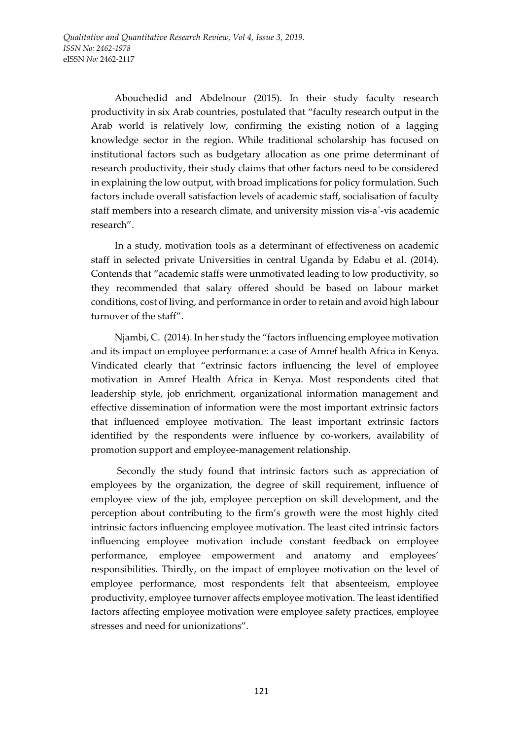Abouchedid and Abdelnour (2015). In their study faculty research productivity in six Arab countries, postulated that "faculty research output in the Arab world is relatively low, confirming the existing notion of a lagging knowledge sector in the region. While traditional scholarship has focused on institutional factors such as budgetary allocation as one prime determinant of research productivity, their study claims that other factors need to be considered in explaining the low output, with broad implications for policy formulation. Such factors include overall satisfaction levels of academic staff, socialisation of faculty staff members into a research climate, and university mission vis-a`-vis academic research".

In a study, motivation tools as a determinant of effectiveness on academic staff in selected private Universities in central Uganda by Edabu et al. (2014). Contends that "academic staffs were unmotivated leading to low productivity, so they recommended that salary offered should be based on labour market conditions, cost of living, and performance in order to retain and avoid high labour turnover of the staff".

Njambi, C. (2014). In her study the "factors influencing employee motivation and its impact on employee performance: a case of Amref health Africa in Kenya. Vindicated clearly that "extrinsic factors influencing the level of employee motivation in Amref Health Africa in Kenya. Most respondents cited that leadership style, job enrichment, organizational information management and effective dissemination of information were the most important extrinsic factors that influenced employee motivation. The least important extrinsic factors identified by the respondents were influence by co-workers, availability of promotion support and employee-management relationship.

Secondly the study found that intrinsic factors such as appreciation of employees by the organization, the degree of skill requirement, influence of employee view of the job, employee perception on skill development, and the perception about contributing to the firm's growth were the most highly cited intrinsic factors influencing employee motivation. The least cited intrinsic factors influencing employee motivation include constant feedback on employee performance, employee empowerment and anatomy and employees' responsibilities. Thirdly, on the impact of employee motivation on the level of employee performance, most respondents felt that absenteeism, employee productivity, employee turnover affects employee motivation. The least identified factors affecting employee motivation were employee safety practices, employee stresses and need for unionizations".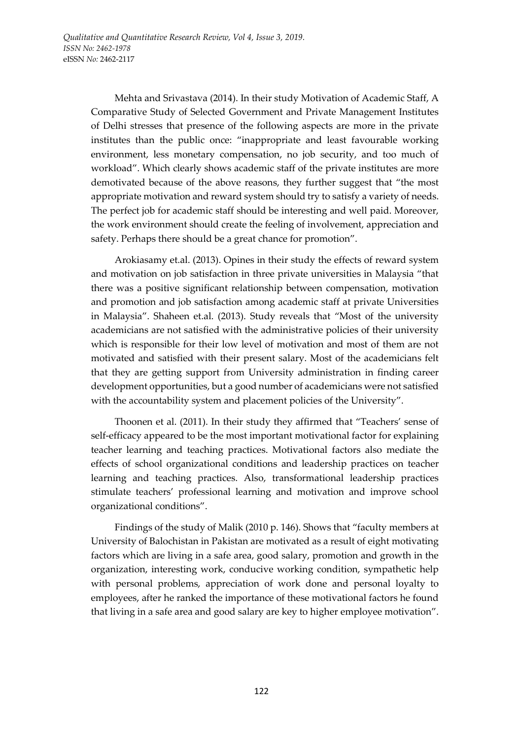*Qualitative and Quantitative Research Review, Vol 4, Issue 3, 2019. ISSN No: 2462-1978*  eISSN *No:* 2462-2117

> Mehta and Srivastava (2014). In their study Motivation of Academic Staff, A Comparative Study of Selected Government and Private Management Institutes of Delhi stresses that presence of the following aspects are more in the private institutes than the public once: "inappropriate and least favourable working environment, less monetary compensation, no job security, and too much of workload". Which clearly shows academic staff of the private institutes are more demotivated because of the above reasons, they further suggest that "the most appropriate motivation and reward system should try to satisfy a variety of needs. The perfect job for academic staff should be interesting and well paid. Moreover, the work environment should create the feeling of involvement, appreciation and safety. Perhaps there should be a great chance for promotion".

> Arokiasamy et.al. (2013). Opines in their study the effects of reward system and motivation on job satisfaction in three private universities in Malaysia "that there was a positive significant relationship between compensation, motivation and promotion and job satisfaction among academic staff at private Universities in Malaysia". Shaheen et.al. (2013). Study reveals that "Most of the university academicians are not satisfied with the administrative policies of their university which is responsible for their low level of motivation and most of them are not motivated and satisfied with their present salary. Most of the academicians felt that they are getting support from University administration in finding career development opportunities, but a good number of academicians were not satisfied with the accountability system and placement policies of the University".

> Thoonen et al. (2011). In their study they affirmed that "Teachers' sense of self-efficacy appeared to be the most important motivational factor for explaining teacher learning and teaching practices. Motivational factors also mediate the effects of school organizational conditions and leadership practices on teacher learning and teaching practices. Also, transformational leadership practices stimulate teachers' professional learning and motivation and improve school organizational conditions".

> Findings of the study of Malik (2010 p. 146). Shows that "faculty members at University of Balochistan in Pakistan are motivated as a result of eight motivating factors which are living in a safe area, good salary, promotion and growth in the organization, interesting work, conducive working condition, sympathetic help with personal problems, appreciation of work done and personal loyalty to employees, after he ranked the importance of these motivational factors he found that living in a safe area and good salary are key to higher employee motivation".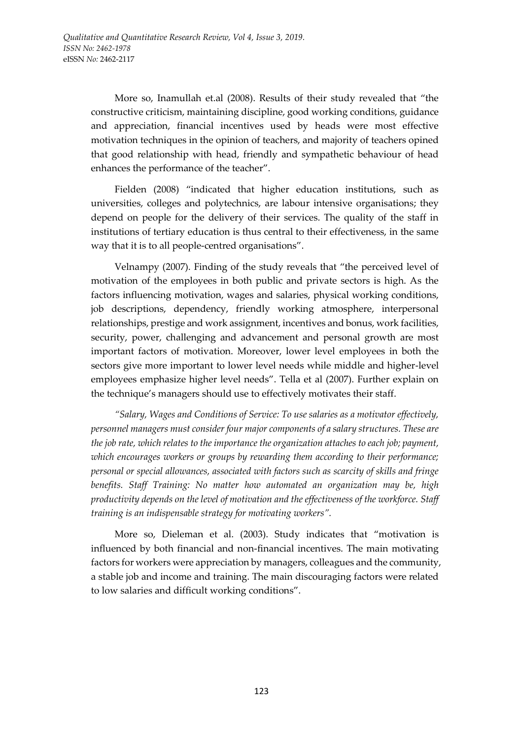More so, Inamullah et.al (2008). Results of their study revealed that "the constructive criticism, maintaining discipline, good working conditions, guidance and appreciation, financial incentives used by heads were most effective motivation techniques in the opinion of teachers, and majority of teachers opined that good relationship with head, friendly and sympathetic behaviour of head enhances the performance of the teacher".

Fielden (2008) "indicated that higher education institutions, such as universities, colleges and polytechnics, are labour intensive organisations; they depend on people for the delivery of their services. The quality of the staff in institutions of tertiary education is thus central to their effectiveness, in the same way that it is to all people-centred organisations".

Velnampy (2007). Finding of the study reveals that "the perceived level of motivation of the employees in both public and private sectors is high. As the factors influencing motivation, wages and salaries, physical working conditions, job descriptions, dependency, friendly working atmosphere, interpersonal relationships, prestige and work assignment, incentives and bonus, work facilities, security, power, challenging and advancement and personal growth are most important factors of motivation. Moreover, lower level employees in both the sectors give more important to lower level needs while middle and higher-level employees emphasize higher level needs". Tella et al (2007). Further explain on the technique's managers should use to effectively motivates their staff.

*"Salary, Wages and Conditions of Service: To use salaries as a motivator effectively, personnel managers must consider four major components of a salary structures. These are the job rate, which relates to the importance the organization attaches to each job; payment, which encourages workers or groups by rewarding them according to their performance; personal or special allowances, associated with factors such as scarcity of skills and fringe benefits. Staff Training: No matter how automated an organization may be, high productivity depends on the level of motivation and the effectiveness of the workforce. Staff training is an indispensable strategy for motivating workers".*

More so, Dieleman et al. (2003). Study indicates that "motivation is influenced by both financial and non-financial incentives. The main motivating factors for workers were appreciation by managers, colleagues and the community, a stable job and income and training. The main discouraging factors were related to low salaries and difficult working conditions".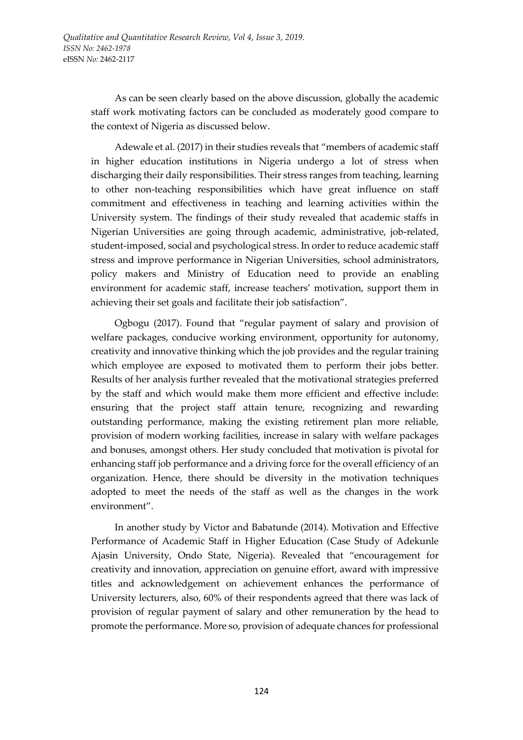As can be seen clearly based on the above discussion, globally the academic staff work motivating factors can be concluded as moderately good compare to the context of Nigeria as discussed below.

Adewale et al. (2017) in their studies reveals that "members of academic staff in higher education institutions in Nigeria undergo a lot of stress when discharging their daily responsibilities. Their stress ranges from teaching, learning to other non-teaching responsibilities which have great influence on staff commitment and effectiveness in teaching and learning activities within the University system. The findings of their study revealed that academic staffs in Nigerian Universities are going through academic, administrative, job-related, student-imposed, social and psychological stress. In order to reduce academic staff stress and improve performance in Nigerian Universities, school administrators, policy makers and Ministry of Education need to provide an enabling environment for academic staff, increase teachers' motivation, support them in achieving their set goals and facilitate their job satisfaction".

Ogbogu (2017). Found that "regular payment of salary and provision of welfare packages, conducive working environment, opportunity for autonomy, creativity and innovative thinking which the job provides and the regular training which employee are exposed to motivated them to perform their jobs better. Results of her analysis further revealed that the motivational strategies preferred by the staff and which would make them more efficient and effective include: ensuring that the project staff attain tenure, recognizing and rewarding outstanding performance, making the existing retirement plan more reliable, provision of modern working facilities, increase in salary with welfare packages and bonuses, amongst others. Her study concluded that motivation is pivotal for enhancing staff job performance and a driving force for the overall efficiency of an organization. Hence, there should be diversity in the motivation techniques adopted to meet the needs of the staff as well as the changes in the work environment".

In another study by Victor and Babatunde (2014). Motivation and Effective Performance of Academic Staff in Higher Education (Case Study of Adekunle Ajasin University, Ondo State, Nigeria). Revealed that "encouragement for creativity and innovation, appreciation on genuine effort, award with impressive titles and acknowledgement on achievement enhances the performance of University lecturers, also, 60% of their respondents agreed that there was lack of provision of regular payment of salary and other remuneration by the head to promote the performance. More so, provision of adequate chances for professional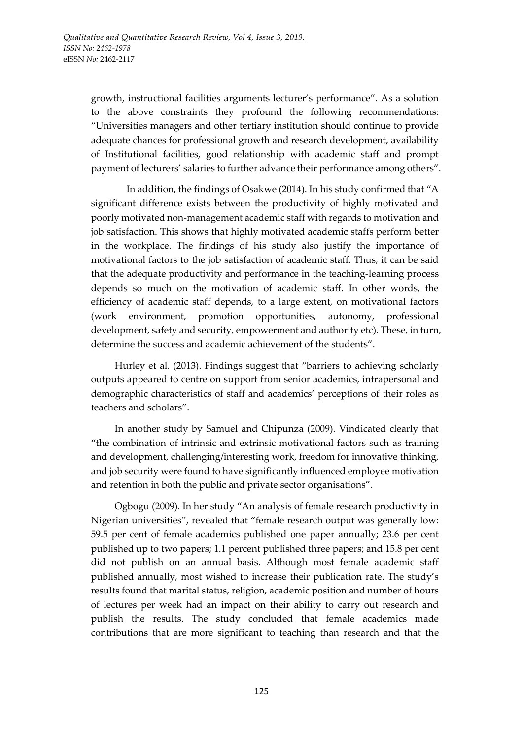growth, instructional facilities arguments lecturer's performance". As a solution to the above constraints they profound the following recommendations: "Universities managers and other tertiary institution should continue to provide adequate chances for professional growth and research development, availability of Institutional facilities, good relationship with academic staff and prompt payment of lecturers' salaries to further advance their performance among others".

In addition, the findings of Osakwe (2014). In his study confirmed that "A significant difference exists between the productivity of highly motivated and poorly motivated non-management academic staff with regards to motivation and job satisfaction. This shows that highly motivated academic staffs perform better in the workplace. The findings of his study also justify the importance of motivational factors to the job satisfaction of academic staff. Thus, it can be said that the adequate productivity and performance in the teaching-learning process depends so much on the motivation of academic staff. In other words, the efficiency of academic staff depends, to a large extent, on motivational factors (work environment, promotion opportunities, autonomy, professional development, safety and security, empowerment and authority etc). These, in turn, determine the success and academic achievement of the students".

Hurley et al. (2013). Findings suggest that "barriers to achieving scholarly outputs appeared to centre on support from senior academics, intrapersonal and demographic characteristics of staff and academics' perceptions of their roles as teachers and scholars".

In another study by Samuel and Chipunza (2009). Vindicated clearly that "the combination of intrinsic and extrinsic motivational factors such as training and development, challenging/interesting work, freedom for innovative thinking, and job security were found to have significantly influenced employee motivation and retention in both the public and private sector organisations".

Ogbogu (2009). In her study "An analysis of female research productivity in Nigerian universities", revealed that "female research output was generally low: 59.5 per cent of female academics published one paper annually; 23.6 per cent published up to two papers; 1.1 percent published three papers; and 15.8 per cent did not publish on an annual basis. Although most female academic staff published annually, most wished to increase their publication rate. The study's results found that marital status, religion, academic position and number of hours of lectures per week had an impact on their ability to carry out research and publish the results. The study concluded that female academics made contributions that are more significant to teaching than research and that the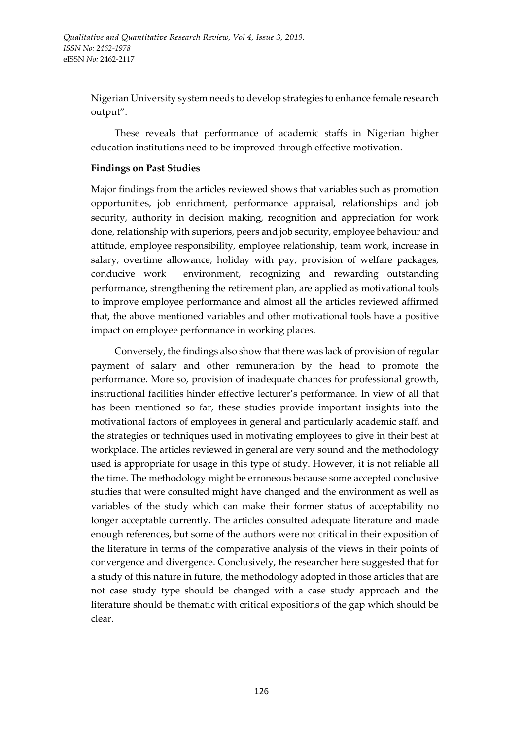Nigerian University system needs to develop strategies to enhance female research output".

These reveals that performance of academic staffs in Nigerian higher education institutions need to be improved through effective motivation.

## **Findings on Past Studies**

Major findings from the articles reviewed shows that variables such as promotion opportunities, job enrichment, performance appraisal, relationships and job security, authority in decision making, recognition and appreciation for work done, relationship with superiors, peers and job security, employee behaviour and attitude, employee responsibility, employee relationship, team work, increase in salary, overtime allowance, holiday with pay, provision of welfare packages, conducive work environment, recognizing and rewarding outstanding performance, strengthening the retirement plan, are applied as motivational tools to improve employee performance and almost all the articles reviewed affirmed that, the above mentioned variables and other motivational tools have a positive impact on employee performance in working places.

Conversely, the findings also show that there was lack of provision of regular payment of salary and other remuneration by the head to promote the performance. More so, provision of inadequate chances for professional growth, instructional facilities hinder effective lecturer's performance. In view of all that has been mentioned so far, these studies provide important insights into the motivational factors of employees in general and particularly academic staff, and the strategies or techniques used in motivating employees to give in their best at workplace. The articles reviewed in general are very sound and the methodology used is appropriate for usage in this type of study. However, it is not reliable all the time. The methodology might be erroneous because some accepted conclusive studies that were consulted might have changed and the environment as well as variables of the study which can make their former status of acceptability no longer acceptable currently. The articles consulted adequate literature and made enough references, but some of the authors were not critical in their exposition of the literature in terms of the comparative analysis of the views in their points of convergence and divergence. Conclusively, the researcher here suggested that for a study of this nature in future, the methodology adopted in those articles that are not case study type should be changed with a case study approach and the literature should be thematic with critical expositions of the gap which should be clear.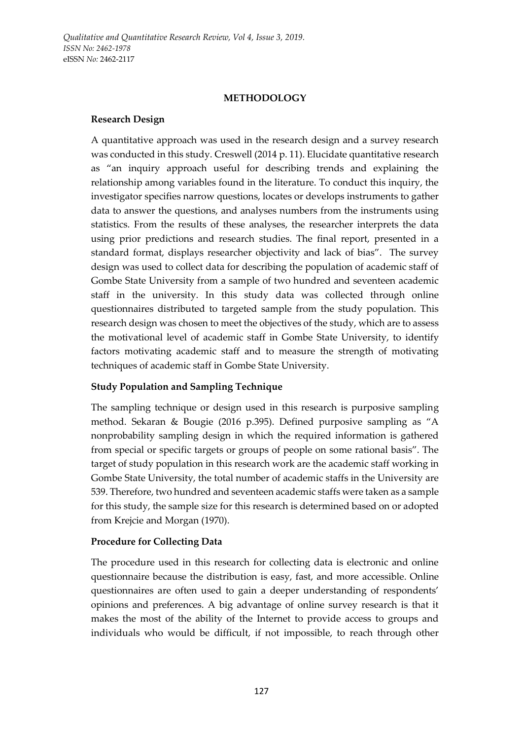*Qualitative and Quantitative Research Review, Vol 4, Issue 3, 2019. ISSN No: 2462-1978*  eISSN *No:* 2462-2117

#### **METHODOLOGY**

### **Research Design**

A quantitative approach was used in the research design and a survey research was conducted in this study. Creswell (2014 p. 11). Elucidate quantitative research as "an inquiry approach useful for describing trends and explaining the relationship among variables found in the literature. To conduct this inquiry, the investigator specifies narrow questions, locates or develops instruments to gather data to answer the questions, and analyses numbers from the instruments using statistics. From the results of these analyses, the researcher interprets the data using prior predictions and research studies. The final report, presented in a standard format, displays researcher objectivity and lack of bias". The survey design was used to collect data for describing the population of academic staff of Gombe State University from a sample of two hundred and seventeen academic staff in the university. In this study data was collected through online questionnaires distributed to targeted sample from the study population. This research design was chosen to meet the objectives of the study, which are to assess the motivational level of academic staff in Gombe State University, to identify factors motivating academic staff and to measure the strength of motivating techniques of academic staff in Gombe State University.

## **Study Population and Sampling Technique**

The sampling technique or design used in this research is purposive sampling method. Sekaran & Bougie (2016 p.395). Defined purposive sampling as "A nonprobability sampling design in which the required information is gathered from special or specific targets or groups of people on some rational basis". The target of study population in this research work are the academic staff working in Gombe State University, the total number of academic staffs in the University are 539. Therefore, two hundred and seventeen academic staffs were taken as a sample for this study, the sample size for this research is determined based on or adopted from Krejcie and Morgan (1970).

## **Procedure for Collecting Data**

The procedure used in this research for collecting data is electronic and online questionnaire because the distribution is easy, fast, and more accessible. Online questionnaires are often used to gain a deeper understanding of respondents' opinions and preferences. A big advantage of online survey research is that it makes the most of the ability of the Internet to provide access to groups and individuals who would be difficult, if not impossible, to reach through other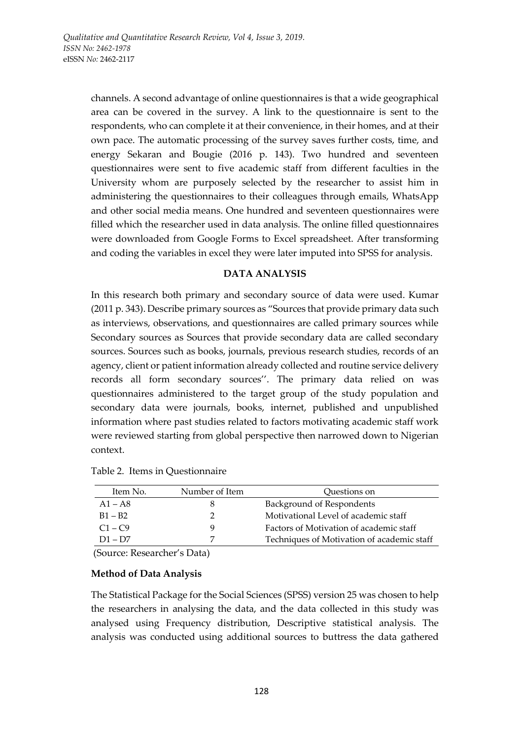channels. A second advantage of online questionnaires is that a wide geographical area can be covered in the survey. A link to the questionnaire is sent to the respondents, who can complete it at their convenience, in their homes, and at their own pace. The automatic processing of the survey saves further costs, time, and energy Sekaran and Bougie (2016 p. 143). Two hundred and seventeen questionnaires were sent to five academic staff from different faculties in the University whom are purposely selected by the researcher to assist him in administering the questionnaires to their colleagues through emails, WhatsApp and other social media means. One hundred and seventeen questionnaires were filled which the researcher used in data analysis. The online filled questionnaires were downloaded from Google Forms to Excel spreadsheet. After transforming and coding the variables in excel they were later imputed into SPSS for analysis.

### **DATA ANALYSIS**

In this research both primary and secondary source of data were used. Kumar (2011 p. 343). Describe primary sources as "Sources that provide primary data such as interviews, observations, and questionnaires are called primary sources while Secondary sources as Sources that provide secondary data are called secondary sources. Sources such as books, journals, previous research studies, records of an agency, client or patient information already collected and routine service delivery records all form secondary sources''. The primary data relied on was questionnaires administered to the target group of the study population and secondary data were journals, books, internet, published and unpublished information where past studies related to factors motivating academic staff work were reviewed starting from global perspective then narrowed down to Nigerian context.

| Item No.  | Number of Item | Ouestions on                               |
|-----------|----------------|--------------------------------------------|
| $A1 - A8$ | 8              | Background of Respondents                  |
| $B1 - B2$ |                | Motivational Level of academic staff       |
| $C1 - C9$ | g              | Factors of Motivation of academic staff    |
| $D1 - D7$ |                | Techniques of Motivation of academic staff |

|  |  | Table 2. Items in Questionnaire |  |
|--|--|---------------------------------|--|
|--|--|---------------------------------|--|

(Source: Researcher's Data)

#### **Method of Data Analysis**

The Statistical Package for the Social Sciences (SPSS) version 25 was chosen to help the researchers in analysing the data, and the data collected in this study was analysed using Frequency distribution, Descriptive statistical analysis. The analysis was conducted using additional sources to buttress the data gathered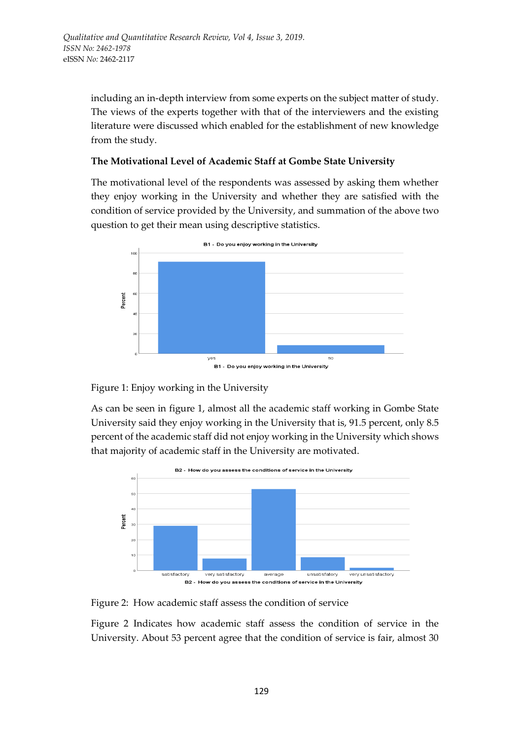including an in-depth interview from some experts on the subject matter of study. The views of the experts together with that of the interviewers and the existing literature were discussed which enabled for the establishment of new knowledge from the study.

# **The Motivational Level of Academic Staff at Gombe State University**

The motivational level of the respondents was assessed by asking them whether they enjoy working in the University and whether they are satisfied with the condition of service provided by the University, and summation of the above two question to get their mean using descriptive statistics.



Figure 1: Enjoy working in the University

As can be seen in figure 1, almost all the academic staff working in Gombe State University said they enjoy working in the University that is, 91.5 percent, only 8.5 percent of the academic staff did not enjoy working in the University which shows that majority of academic staff in the University are motivated.



Figure 2: How academic staff assess the condition of service

Figure 2 Indicates how academic staff assess the condition of service in the University. About 53 percent agree that the condition of service is fair, almost 30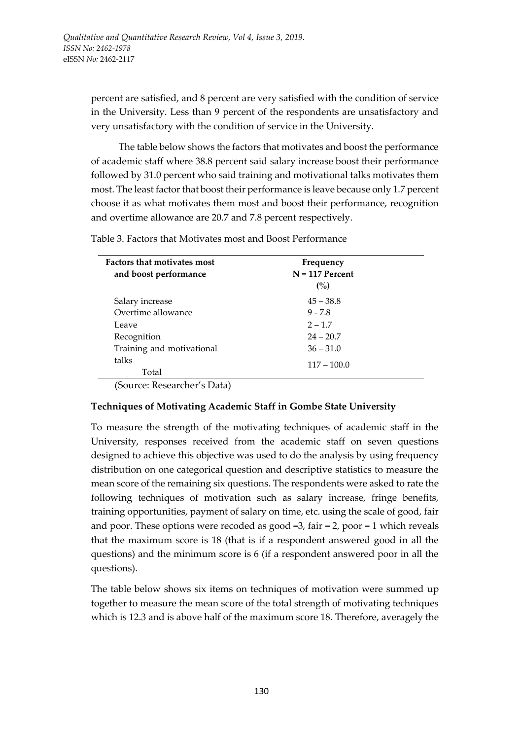percent are satisfied, and 8 percent are very satisfied with the condition of service in the University. Less than 9 percent of the respondents are unsatisfactory and very unsatisfactory with the condition of service in the University.

The table below shows the factors that motivates and boost the performance of academic staff where 38.8 percent said salary increase boost their performance followed by 31.0 percent who said training and motivational talks motivates them most. The least factor that boost their performance is leave because only 1.7 percent choose it as what motivates them most and boost their performance, recognition and overtime allowance are 20.7 and 7.8 percent respectively.

Table 3. Factors that Motivates most and Boost Performance

| <b>Factors that motivates most</b> | Frequency         |
|------------------------------------|-------------------|
| and boost performance              | $N = 117$ Percent |
|                                    | (%)               |
| Salary increase                    | $45 - 38.8$       |
| Overtime allowance                 | $9 - 7.8$         |
| Leave                              | $2 - 1.7$         |
| Recognition                        | $24 - 20.7$       |
| Training and motivational          | $36 - 31.0$       |
| talks                              | $117 - 100.0$     |
| Total                              |                   |

(Source: Researcher's Data)

## **Techniques of Motivating Academic Staff in Gombe State University**

To measure the strength of the motivating techniques of academic staff in the University, responses received from the academic staff on seven questions designed to achieve this objective was used to do the analysis by using frequency distribution on one categorical question and descriptive statistics to measure the mean score of the remaining six questions. The respondents were asked to rate the following techniques of motivation such as salary increase, fringe benefits, training opportunities, payment of salary on time, etc. using the scale of good, fair and poor. These options were recoded as good  $=3$ , fair  $=2$ , poor  $=1$  which reveals that the maximum score is 18 (that is if a respondent answered good in all the questions) and the minimum score is 6 (if a respondent answered poor in all the questions).

The table below shows six items on techniques of motivation were summed up together to measure the mean score of the total strength of motivating techniques which is 12.3 and is above half of the maximum score 18. Therefore, averagely the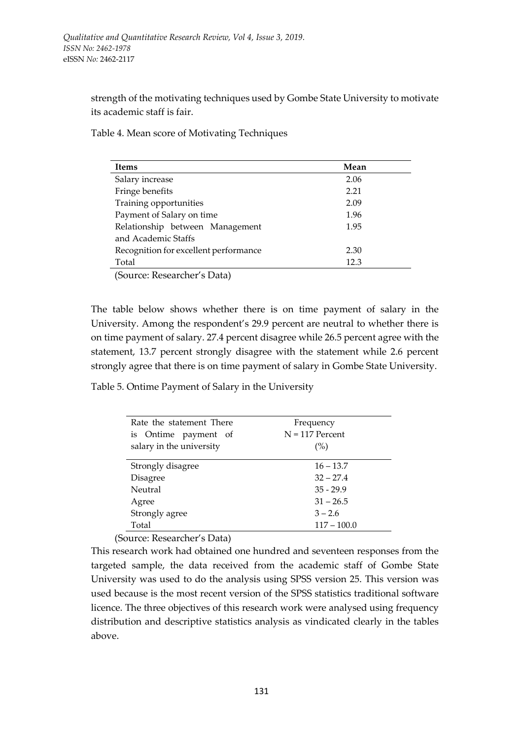strength of the motivating techniques used by Gombe State University to motivate its academic staff is fair.

Table 4. Mean score of Motivating Techniques

| Items                                                                                | Mean |
|--------------------------------------------------------------------------------------|------|
| Salary increase                                                                      | 2.06 |
| Fringe benefits                                                                      | 2.21 |
| Training opportunities                                                               | 2.09 |
| Payment of Salary on time                                                            | 1.96 |
| Relationship between Management                                                      | 1.95 |
| and Academic Staffs                                                                  |      |
| Recognition for excellent performance                                                | 2.30 |
| Total                                                                                | 12.3 |
| $(S_{\alpha1}$ $R_{\alpha2}$ $R_{\alpha3}$ $R_{\alpha4}$ $R_{\alpha5}$ $R_{\alpha6}$ |      |

(Source: Researcher's Data)

The table below shows whether there is on time payment of salary in the University. Among the respondent's 29.9 percent are neutral to whether there is on time payment of salary. 27.4 percent disagree while 26.5 percent agree with the statement, 13.7 percent strongly disagree with the statement while 2.6 percent strongly agree that there is on time payment of salary in Gombe State University.

Table 5. Ontime Payment of Salary in the University

| Rate the statement There                               | Frequency         |
|--------------------------------------------------------|-------------------|
| is Ontime payment of                                   | $N = 117$ Percent |
| salary in the university                               | (%)               |
|                                                        |                   |
| Strongly disagree                                      | $16 - 13.7$       |
| Disagree                                               | $32 - 27.4$       |
| Neutral                                                | $35 - 29.9$       |
| Agree                                                  | $31 - 26.5$       |
| Strongly agree                                         | $3 - 2.6$         |
| Total                                                  | $117 - 100.0$     |
| $\sim$ $\sim$ $\sim$<br>$\mathbf{I}$<br>$\blacksquare$ |                   |

(Source: Researcher's Data)

This research work had obtained one hundred and seventeen responses from the targeted sample, the data received from the academic staff of Gombe State University was used to do the analysis using SPSS version 25. This version was used because is the most recent version of the SPSS statistics traditional software licence. The three objectives of this research work were analysed using frequency distribution and descriptive statistics analysis as vindicated clearly in the tables above.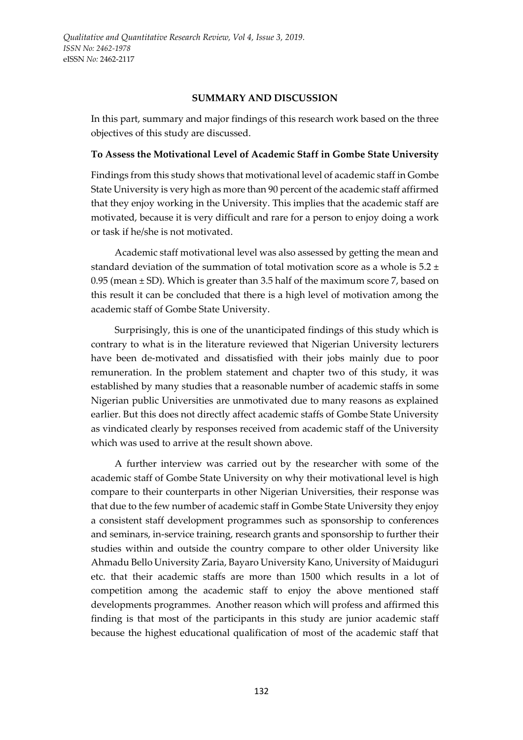#### **SUMMARY AND DISCUSSION**

In this part, summary and major findings of this research work based on the three objectives of this study are discussed.

## **To Assess the Motivational Level of Academic Staff in Gombe State University**

Findings from this study shows that motivational level of academic staff in Gombe State University is very high as more than 90 percent of the academic staff affirmed that they enjoy working in the University. This implies that the academic staff are motivated, because it is very difficult and rare for a person to enjoy doing a work or task if he/she is not motivated.

Academic staff motivational level was also assessed by getting the mean and standard deviation of the summation of total motivation score as a whole is 5.2 ± 0.95 (mean  $\pm$  SD). Which is greater than 3.5 half of the maximum score 7, based on this result it can be concluded that there is a high level of motivation among the academic staff of Gombe State University.

Surprisingly, this is one of the unanticipated findings of this study which is contrary to what is in the literature reviewed that Nigerian University lecturers have been de-motivated and dissatisfied with their jobs mainly due to poor remuneration. In the problem statement and chapter two of this study, it was established by many studies that a reasonable number of academic staffs in some Nigerian public Universities are unmotivated due to many reasons as explained earlier. But this does not directly affect academic staffs of Gombe State University as vindicated clearly by responses received from academic staff of the University which was used to arrive at the result shown above.

A further interview was carried out by the researcher with some of the academic staff of Gombe State University on why their motivational level is high compare to their counterparts in other Nigerian Universities, their response was that due to the few number of academic staff in Gombe State University they enjoy a consistent staff development programmes such as sponsorship to conferences and seminars, in-service training, research grants and sponsorship to further their studies within and outside the country compare to other older University like Ahmadu Bello University Zaria, Bayaro University Kano, University of Maiduguri etc. that their academic staffs are more than 1500 which results in a lot of competition among the academic staff to enjoy the above mentioned staff developments programmes. Another reason which will profess and affirmed this finding is that most of the participants in this study are junior academic staff because the highest educational qualification of most of the academic staff that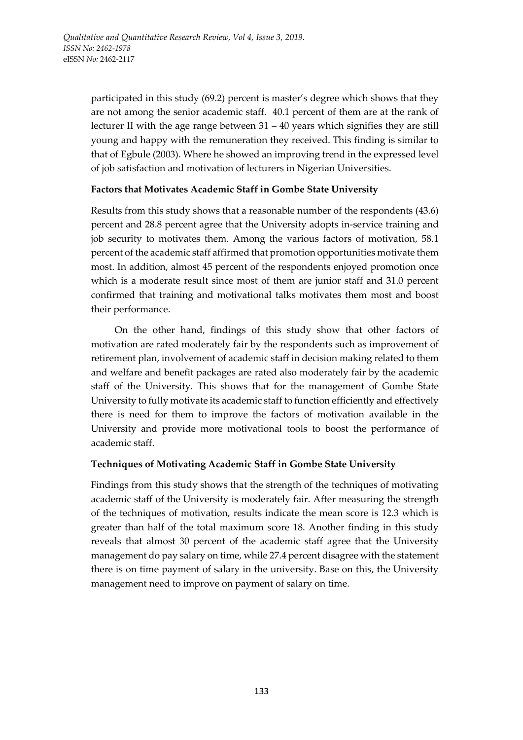participated in this study (69.2) percent is master's degree which shows that they are not among the senior academic staff. 40.1 percent of them are at the rank of lecturer II with the age range between  $31 - 40$  years which signifies they are still young and happy with the remuneration they received. This finding is similar to that of Egbule (2003). Where he showed an improving trend in the expressed level of job satisfaction and motivation of lecturers in Nigerian Universities.

## **Factors that Motivates Academic Staff in Gombe State University**

Results from this study shows that a reasonable number of the respondents (43.6) percent and 28.8 percent agree that the University adopts in-service training and job security to motivates them. Among the various factors of motivation, 58.1 percent of the academic staff affirmed that promotion opportunities motivate them most. In addition, almost 45 percent of the respondents enjoyed promotion once which is a moderate result since most of them are junior staff and 31.0 percent confirmed that training and motivational talks motivates them most and boost their performance.

On the other hand, findings of this study show that other factors of motivation are rated moderately fair by the respondents such as improvement of retirement plan, involvement of academic staff in decision making related to them and welfare and benefit packages are rated also moderately fair by the academic staff of the University. This shows that for the management of Gombe State University to fully motivate its academic staff to function efficiently and effectively there is need for them to improve the factors of motivation available in the University and provide more motivational tools to boost the performance of academic staff.

# **Techniques of Motivating Academic Staff in Gombe State University**

Findings from this study shows that the strength of the techniques of motivating academic staff of the University is moderately fair. After measuring the strength of the techniques of motivation, results indicate the mean score is 12.3 which is greater than half of the total maximum score 18. Another finding in this study reveals that almost 30 percent of the academic staff agree that the University management do pay salary on time, while 27.4 percent disagree with the statement there is on time payment of salary in the university. Base on this, the University management need to improve on payment of salary on time.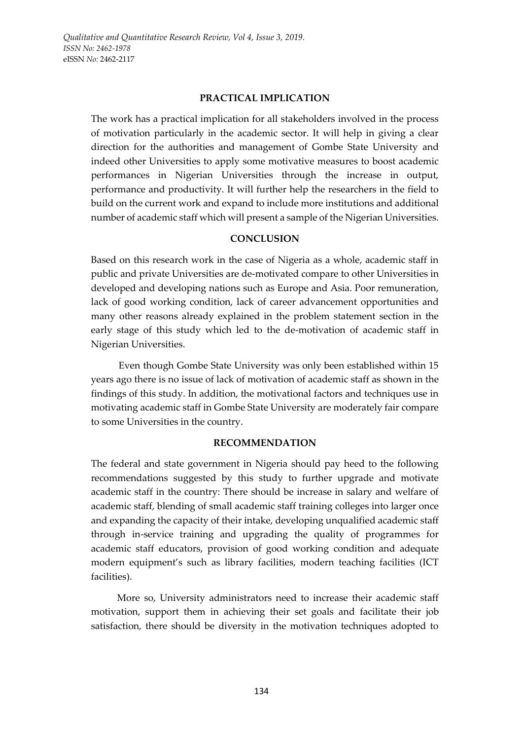### **PRACTICAL IMPLICATION**

The work has a practical implication for all stakeholders involved in the process of motivation particularly in the academic sector. It will help in giving a clear direction for the authorities and management of Gombe State University and indeed other Universities to apply some motivative measures to boost academic performances in Nigerian Universities through the increase in output, performance and productivity. It will further help the researchers in the field to build on the current work and expand to include more institutions and additional number of academic staff which will present a sample of the Nigerian Universities.

# **CONCLUSION**

Based on this research work in the case of Nigeria as a whole, academic staff in public and private Universities are de-motivated compare to other Universities in developed and developing nations such as Europe and Asia. Poor remuneration, lack of good working condition, lack of career advancement opportunities and many other reasons already explained in the problem statement section in the early stage of this study which led to the de-motivation of academic staff in Nigerian Universities.

Even though Gombe State University was only been established within 15 years ago there is no issue of lack of motivation of academic staff as shown in the findings of this study. In addition, the motivational factors and techniques use in motivating academic staff in Gombe State University are moderately fair compare to some Universities in the country.

## **RECOMMENDATION**

The federal and state government in Nigeria should pay heed to the following recommendations suggested by this study to further upgrade and motivate academic staff in the country: There should be increase in salary and welfare of academic staff, blending of small academic staff training colleges into larger once and expanding the capacity of their intake, developing unqualified academic staff through in-service training and upgrading the quality of programmes for academic staff educators, provision of good working condition and adequate modern equipment's such as library facilities, modern teaching facilities (ICT facilities).

More so, University administrators need to increase their academic staff motivation, support them in achieving their set goals and facilitate their job satisfaction, there should be diversity in the motivation techniques adopted to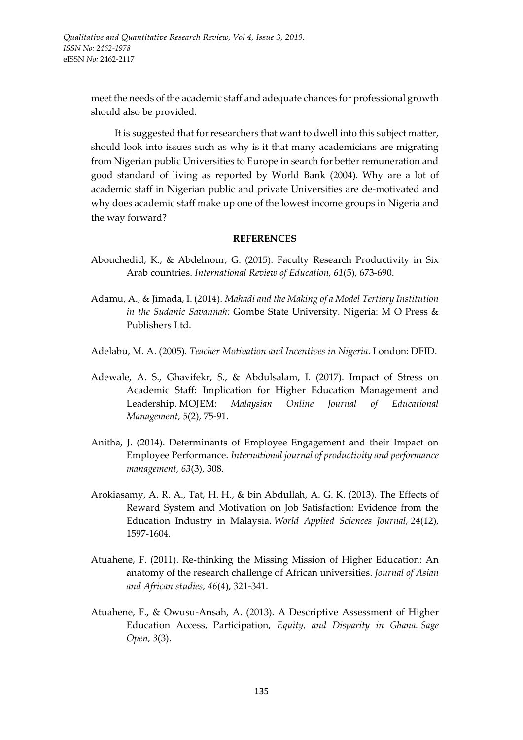meet the needs of the academic staff and adequate chances for professional growth should also be provided.

It is suggested that for researchers that want to dwell into this subject matter, should look into issues such as why is it that many academicians are migrating from Nigerian public Universities to Europe in search for better remuneration and good standard of living as reported by World Bank (2004). Why are a lot of academic staff in Nigerian public and private Universities are de-motivated and why does academic staff make up one of the lowest income groups in Nigeria and the way forward?

### **REFERENCES**

- Abouchedid, K., & Abdelnour, G. (2015). Faculty Research Productivity in Six Arab countries. *International Review of Education, 61*(5), 673-690.
- Adamu, A., & Jimada, I. (2014). *Mahadi and the Making of a Model Tertiary Institution in the Sudanic Savannah:* Gombe State University. Nigeria: M O Press & Publishers Ltd.
- Adelabu, M. A. (2005). *Teacher Motivation and Incentives in Nigeria*. London: DFID.
- Adewale, A. S., Ghavifekr, S., & Abdulsalam, I. (2017). Impact of Stress on Academic Staff: Implication for Higher Education Management and Leadership. MOJEM: *Malaysian Online Journal of Educational Management, 5*(2), 75-91.
- Anitha, J. (2014). Determinants of Employee Engagement and their Impact on Employee Performance. *International journal of productivity and performance management, 63*(3), 308.
- Arokiasamy, A. R. A., Tat, H. H., & bin Abdullah, A. G. K. (2013). The Effects of Reward System and Motivation on Job Satisfaction: Evidence from the Education Industry in Malaysia. *World Applied Sciences Journal, 24*(12), 1597-1604.
- Atuahene, F. (2011). Re-thinking the Missing Mission of Higher Education: An anatomy of the research challenge of African universities. *Journal of Asian and African studies, 46*(4), 321-341.
- Atuahene, F., & Owusu-Ansah, A. (2013). A Descriptive Assessment of Higher Education Access, Participation, *Equity, and Disparity in Ghana. Sage Open, 3*(3).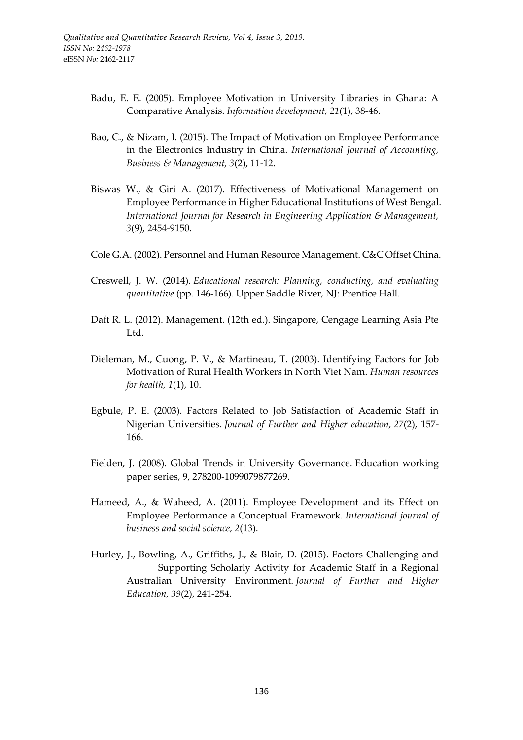- Badu, E. E. (2005). Employee Motivation in University Libraries in Ghana: A Comparative Analysis. *Information development, 21*(1), 38-46.
- Bao, C., & Nizam, I. (2015). The Impact of Motivation on Employee Performance in the Electronics Industry in China. *International Journal of Accounting, Business & Management, 3*(2), 11-12.
- Biswas W., & Giri A. (2017). Effectiveness of Motivational Management on Employee Performance in Higher Educational Institutions of West Bengal. *International Journal for Research in Engineering Application & Management, 3*(9), 2454-9150.
- Cole G.A. (2002). Personnel and Human Resource Management. C&C Offset China.
- Creswell, J. W. (2014). *Educational research: Planning, conducting, and evaluating quantitative* (pp. 146-166). Upper Saddle River, NJ: Prentice Hall.
- Daft R. L. (2012). Management. (12th ed.). Singapore, Cengage Learning Asia Pte Ltd.
- Dieleman, M., Cuong, P. V., & Martineau, T. (2003). Identifying Factors for Job Motivation of Rural Health Workers in North Viet Nam. *Human resources for health, 1*(1), 10.
- Egbule, P. E. (2003). Factors Related to Job Satisfaction of Academic Staff in Nigerian Universities. *Journal of Further and Higher education, 27*(2), 157- 166.
- Fielden, J. (2008). Global Trends in University Governance. Education working paper series, 9, 278200-1099079877269.
- Hameed, A., & Waheed, A. (2011). Employee Development and its Effect on Employee Performance a Conceptual Framework. *International journal of business and social science, 2*(13).
- Hurley, J., Bowling, A., Griffiths, J., & Blair, D. (2015). Factors Challenging and Supporting Scholarly Activity for Academic Staff in a Regional Australian University Environment. *Journal of Further and Higher Education, 39*(2), 241-254.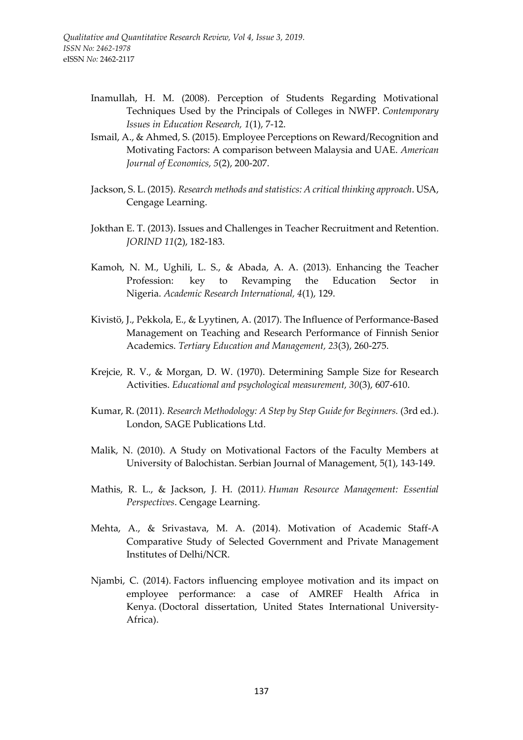- Inamullah, H. M. (2008). Perception of Students Regarding Motivational Techniques Used by the Principals of Colleges in NWFP. *Contemporary Issues in Education Research, 1*(1), 7-12.
- Ismail, A., & Ahmed, S. (2015). Employee Perceptions on Reward/Recognition and Motivating Factors: A comparison between Malaysia and UAE. *American Journal of Economics, 5*(2), 200-207.
- Jackson, S. L. (2015). *Research methods and statistics: A critical thinking approach*. USA, Cengage Learning.
- Jokthan E. T. (2013). Issues and Challenges in Teacher Recruitment and Retention. *JORIND 11*(2), 182-183.
- Kamoh, N. M., Ughili, L. S., & Abada, A. A. (2013). Enhancing the Teacher Profession: key to Revamping the Education Sector in Nigeria. *Academic Research International, 4*(1), 129.
- Kivistö, J., Pekkola, E., & Lyytinen, A. (2017). The Influence of Performance-Based Management on Teaching and Research Performance of Finnish Senior Academics. *Tertiary Education and Management, 23*(3), 260-275.
- Krejcie, R. V., & Morgan, D. W. (1970). Determining Sample Size for Research Activities. *Educational and psychological measurement, 30*(3), 607-610.
- Kumar, R. (2011). *Research Methodology: A Step by Step Guide for Beginners.* (3rd ed.). London, SAGE Publications Ltd.
- Malik, N. (2010). A Study on Motivational Factors of the Faculty Members at University of Balochistan. Serbian Journal of Management, 5(1), 143-149.
- Mathis, R. L., & Jackson, J. H. (2011*). Human Resource Management: Essential Perspectives*. Cengage Learning.
- Mehta, A., & Srivastava, M. A. (2014). Motivation of Academic Staff-A Comparative Study of Selected Government and Private Management Institutes of Delhi/NCR.
- Njambi, C. (2014). Factors influencing employee motivation and its impact on employee performance: a case of AMREF Health Africa in Kenya. (Doctoral dissertation, United States International University-Africa).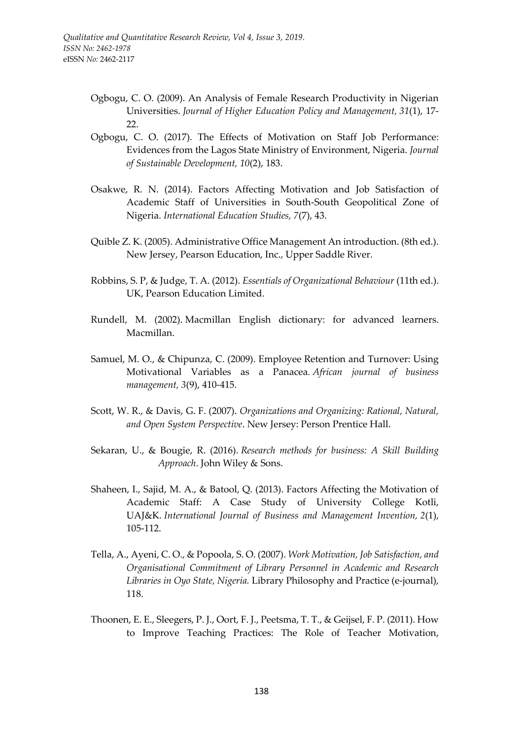- Ogbogu, C. O. (2009). An Analysis of Female Research Productivity in Nigerian Universities. *Journal of Higher Education Policy and Management, 31*(1), 17- 22.
- Ogbogu, C. O. (2017). The Effects of Motivation on Staff Job Performance: Evidences from the Lagos State Ministry of Environment, Nigeria. *Journal of Sustainable Development, 10*(2), 183.
- Osakwe, R. N. (2014). Factors Affecting Motivation and Job Satisfaction of Academic Staff of Universities in South-South Geopolitical Zone of Nigeria. *International Education Studies, 7*(7), 43.
- Quible Z. K. (2005). Administrative Office Management An introduction. (8th ed.). New Jersey, Pearson Education, Inc., Upper Saddle River.
- Robbins, S. P, & Judge, T. A. (2012). *Essentials of Organizational Behaviour* (11th ed.). UK, Pearson Education Limited.
- Rundell, M. (2002). Macmillan English dictionary: for advanced learners. Macmillan.
- Samuel, M. O., & Chipunza, C. (2009). Employee Retention and Turnover: Using Motivational Variables as a Panacea*. African journal of business management, 3*(9), 410-415.
- Scott, W. R., & Davis, G. F. (2007). *Organizations and Organizing: Rational, Natural, and Open System Perspective*. New Jersey: Person Prentice Hall.
- Sekaran, U., & Bougie, R. (2016). *Research methods for business: A Skill Building Approach*. John Wiley & Sons.
- Shaheen, I., Sajid, M. A., & Batool, Q. (2013). Factors Affecting the Motivation of Academic Staff: A Case Study of University College Kotli, UAJ&K. *International Journal of Business and Management Invention, 2*(1), 105-112.
- Tella, A., Ayeni, C. O., & Popoola, S. O. (2007). *Work Motivation, Job Satisfaction, and Organisational Commitment of Library Personnel in Academic and Research Libraries in Oyo State, Nigeria.* Library Philosophy and Practice (e-journal), 118.
- Thoonen, E. E., Sleegers, P. J., Oort, F. J., Peetsma, T. T., & Geijsel, F. P. (2011). How to Improve Teaching Practices: The Role of Teacher Motivation,